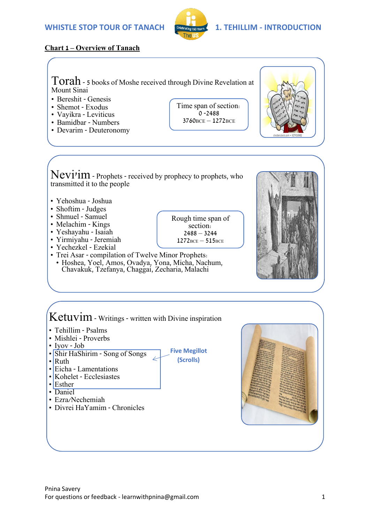

# **Chart 1 – Overview of Tanach**

Torah - 5 books of Moshe received through Divine Revelation at Mount Sinai

- Bereshit Genesis
- Shemot Exodus
- Vayikra Leviticus
- Bamidbar Numbers
- Devarim Deuteronomy

Time span of section:  $0 - 2488$ 3760BCE – 1272BCE

Rough time span of section:  $2488 - 3244$  $1272$ BCE –  $515$ BCE

**Five Megillot (Scrolls)**



- Yehoshua Joshua
- Shoftim Judges
- Shmuel Samuel
- Melachim Kings
- Yeshayahu Isaiah
- Yirmiyahu Jeremiah
- Yechezkel Ezekial
- Trei Asar compilation of Twelve Minor Prophets:
	- Hoshea, Yoel, Amos, Ovadya, Yona, Micha, Nachum, Chavakuk, Tzefanya, Chaggai, Zecharia, Malachi



# Ketuvim - Writings - written with Divine inspiration

- Tehillim Psalms
- Mishlei Proverbs
- Iyov Job
- Shir HaShirim Song of Songs
- $\cdot$  Ruth
- Eicha Lamentations
- Kohelet Ecclesiastes
- Esther
- Daniel
- Ezra/Nechemiah
- Divrei HaYamim Chronicles